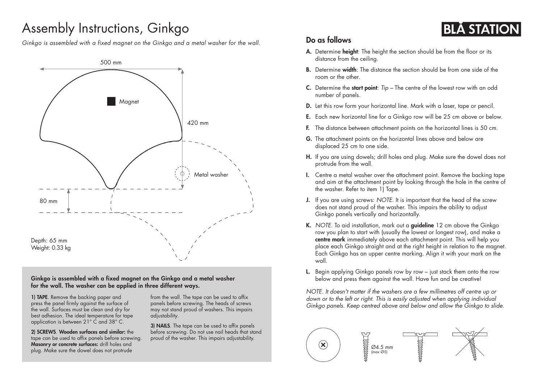## Assembly Instructions, Ginkgo

*Ginkgo is assembled with a fixed magnet on the Ginkgo and a metal washer for the wall.*



Ginkgo is assembled with a fixed magnet on the Ginkgo and a metal washer for the wall. The washer can be applied in three different ways.

1) TAPE. Remove the backing paper and press the panel firmly against the surface of the wall. Surfaces must be clean and dry for best adhesion. The ideal temperature for tape application is between 21° C and 38° C.

2) SCREWS. Wooden surfaces and similar: the tape can be used to affix panels before screwing. Masonry or concrete surfaces: drill holes and plug. Make sure the dowel does not protrude

from the wall. The tape can be used to affix panels before screwing. The heads of screws may not stand proud of washers. This impairs adjustability.

3) NAILS. The tape can be used to affix panels before screwing. Do not use nail heads that stand proud of the washer. This impairs adjustability.

## Do as follows

- A. Determine height: The height the section should be from the floor or its distance from the ceiling.
- **B.** Determine width: The distance the section should be from one side of the room or the other.

**BLA STATIC** 

- C. Determine the start point: *Tip –* The centre of the lowest row with an odd number of panels.
- D. Let this row form your horizontal line. Mark with a laser, tape or pencil.
- E. Each new horizontal line for a Ginkgo row will be 25 cm above or below.
- F. The distance between attachment points on the horizontal lines is 50 cm.
- G. The attachment points on the horizontal lines above and below are displaced 25 cm to one side.
- H. If you are using dowels; drill holes and plug. Make sure the dowel does not protrude from the wall.
- I. Centre a metal washer over the attachment point. Remove the backing tape and aim at the attachment point by looking through the hole in the centre of the washer. Refer to item 1) Tape.
- J. If you are using screws: *NOTE.* It is important that the head of the screw does not stand proud of the washer. This impairs the ability to adjust Ginkgo panels vertically and horizontally.
- K. *NOTE*. To aid installation, mark out a **guideline** 12 cm above the Ginkgo row you plan to start with (usually the lowest or longest row), and make a centre mark immediately above each attachment point. This will help you place each Ginkgo straight and at the right height in relation to the magnet. Each Ginkgo has an upper centre marking. Align it with your mark on the wall.
- L. Begin applying Ginkgo panels row by row just stack them onto the row below and press them against the wall. Have fun and be creative!

*NOTE. It doesn't matter if the washers are a few millimetres off centre up or*  down or to the left or right. This is easily adjusted when applying individual *Ginkgo panels. Keep centred above and below and allow the Ginkgo to slide.*